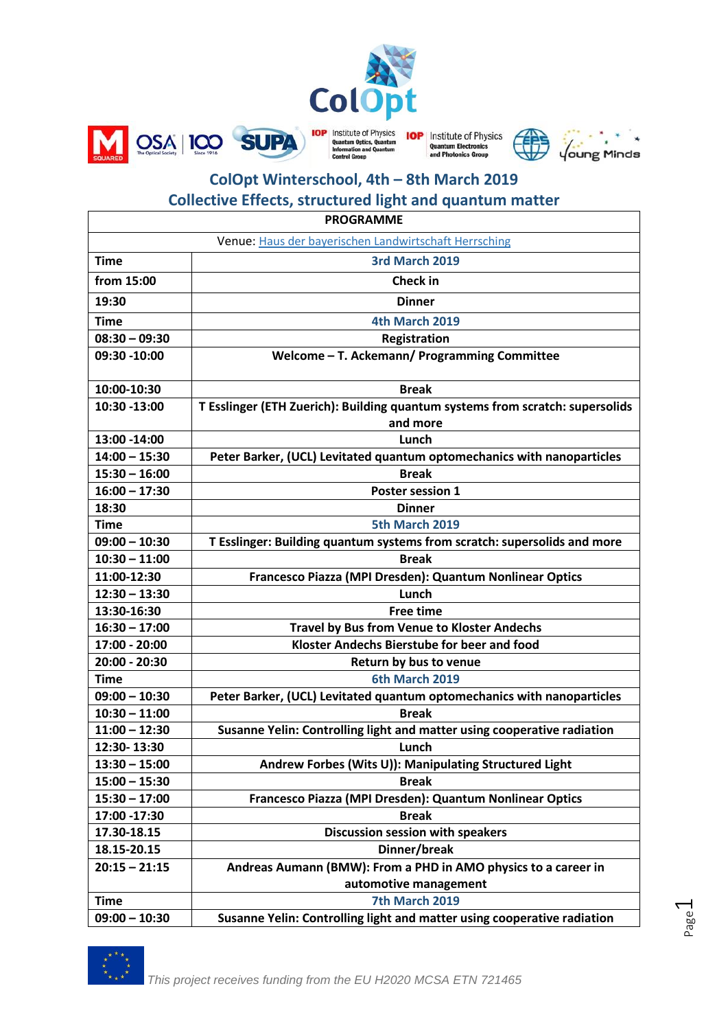

**IOP** Institute of Physics **Ouantum Electronics** ics Grou



# **ColOpt Winterschool, 4th – 8th March 2019**

on and Ous

## **Collective Effects, structured light and quantum matter**

OSA 100 SUPA

| <b>PROGRAMME</b>                                      |                                                                               |
|-------------------------------------------------------|-------------------------------------------------------------------------------|
| Venue: Haus der bayerischen Landwirtschaft Herrsching |                                                                               |
| <b>Time</b>                                           | 3rd March 2019                                                                |
| from 15:00                                            | <b>Check in</b>                                                               |
| 19:30                                                 | <b>Dinner</b>                                                                 |
| <b>Time</b>                                           | 4th March 2019                                                                |
| $08:30 - 09:30$                                       | Registration                                                                  |
| 09:30 -10:00                                          | Welcome - T. Ackemann/ Programming Committee                                  |
| 10:00-10:30                                           | <b>Break</b>                                                                  |
| 10:30 -13:00                                          | T Esslinger (ETH Zuerich): Building quantum systems from scratch: supersolids |
|                                                       | and more                                                                      |
| 13:00 -14:00                                          | Lunch                                                                         |
| $14:00 - 15:30$                                       | Peter Barker, (UCL) Levitated quantum optomechanics with nanoparticles        |
| $15:30 - 16:00$                                       | <b>Break</b>                                                                  |
| $16:00 - 17:30$                                       | Poster session 1                                                              |
| 18:30                                                 | <b>Dinner</b>                                                                 |
| <b>Time</b>                                           | 5th March 2019                                                                |
| $09:00 - 10:30$                                       | T Esslinger: Building quantum systems from scratch: supersolids and more      |
| $10:30 - 11:00$                                       | <b>Break</b>                                                                  |
| 11:00-12:30                                           | Francesco Piazza (MPI Dresden): Quantum Nonlinear Optics                      |
| $12:30 - 13:30$                                       | Lunch                                                                         |
| 13:30-16:30                                           | <b>Free time</b>                                                              |
| $16:30 - 17:00$                                       | <b>Travel by Bus from Venue to Kloster Andechs</b>                            |
| 17:00 - 20:00                                         | Kloster Andechs Bierstube for beer and food                                   |
| 20:00 - 20:30                                         | Return by bus to venue                                                        |
| <b>Time</b>                                           | 6th March 2019                                                                |
| $09:00 - 10:30$                                       | Peter Barker, (UCL) Levitated quantum optomechanics with nanoparticles        |
| $10:30 - 11:00$                                       | <b>Break</b>                                                                  |
| $11:00 - 12:30$                                       | Susanne Yelin: Controlling light and matter using cooperative radiation       |
| 12:30-13:30                                           | Lunch                                                                         |
| $13:30 - 15:00$                                       | Andrew Forbes (Wits U)): Manipulating Structured Light                        |
| $15:00 - 15:30$                                       | <b>Break</b>                                                                  |
| $15:30 - 17:00$                                       | Francesco Piazza (MPI Dresden): Quantum Nonlinear Optics                      |
| 17:00 -17:30                                          | <b>Break</b>                                                                  |
| 17.30-18.15                                           | Discussion session with speakers                                              |
| 18.15-20.15                                           | Dinner/break                                                                  |
| $20:15 - 21:15$                                       | Andreas Aumann (BMW): From a PHD in AMO physics to a career in                |
|                                                       | automotive management                                                         |
| <b>Time</b>                                           | 7th March 2019                                                                |
| $09:00 - 10:30$                                       | Susanne Yelin: Controlling light and matter using cooperative radiation       |